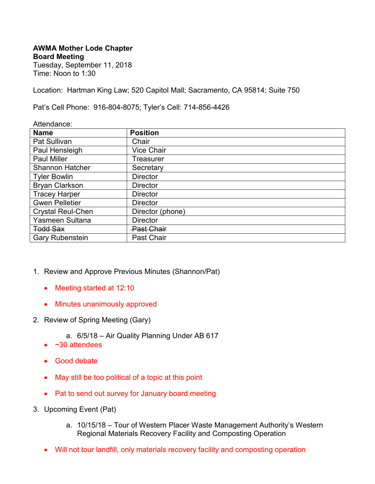## **AWMA Mother Lode Chapter Board Meeting**

Tuesday, September 11, 2018 Time: Noon to 1:30

Location: Hartman King Law; 520 Capitol Mall; Sacramento, CA 95814; Suite 750

Pat's Cell Phone: 916-804-8075; Tyler's Cell: 714-856-4426

| Attendance:              |                   |
|--------------------------|-------------------|
| <b>Name</b>              | <b>Position</b>   |
| Pat Sullivan             | Chair             |
| Paul Hensleigh           | <b>Vice Chair</b> |
| <b>Paul Miller</b>       | Treasurer         |
| <b>Shannon Hatcher</b>   | Secretary         |
| <b>Tyler Bowlin</b>      | <b>Director</b>   |
| <b>Bryan Clarkson</b>    | <b>Director</b>   |
| <b>Tracey Harper</b>     | <b>Director</b>   |
| <b>Gwen Pelletier</b>    | <b>Director</b>   |
| <b>Crystal Reul-Chen</b> | Director (phone)  |
| Yasmeen Sultana          | <b>Director</b>   |
| <b>Todd Sax</b>          | <b>Past Chair</b> |
| <b>Gary Rubenstein</b>   | Past Chair        |

- 1. Review and Approve Previous Minutes (Shannon/Pat)
	- Meeting started at 12:10
	- Minutes unanimously approved
- 2. Review of Spring Meeting (Gary)
	- a. 6/5/18 Air Quality Planning Under AB 617
	- $\bullet$  ~30 attendees
	- Good debate
	- May still be too political of a topic at this point
	- Pat to send out survey for January board meeting
- 3. Upcoming Event (Pat)
	- a. 10/15/18 Tour of Western Placer Waste Management Authority's Western Regional Materials Recovery Facility and Composting Operation
	- Will not tour landfill, only materials recovery facility and composting operation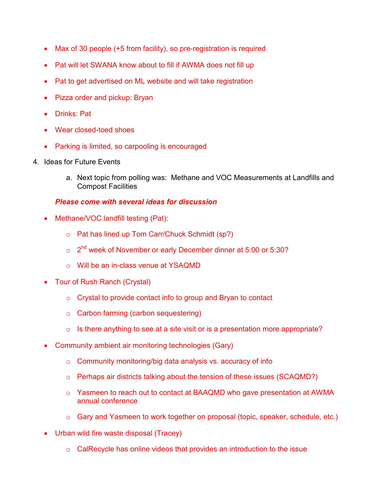- Max of 30 people (+5 from facility), so pre-registration is required
- Pat will let SWANA know about to fill if AWMA does not fill up
- Pat to get advertised on ML website and will take registration
- Pizza order and pickup: Bryan
- Drinks: Pat
- Wear closed-toed shoes
- Parking is limited, so carpooling is encouraged
- 4. Ideas for Future Events
	- a. Next topic from polling was: Methane and VOC Measurements at Landfills and Compost Facilities

## *Please come with several ideas for discussion*

- Methane/VOC landfill testing (Pat):
	- o Pat has lined up Tom Carr/Chuck Schmidt (sp?)
	- $\circ$  2<sup>nd</sup> week of November or early December dinner at 5:00 or 5:30?
	- o Will be an in-class venue at YSAQMD
- Tour of Rush Ranch (Crystal)
	- o Crystal to provide contact info to group and Bryan to contact
	- o Carbon farming (carbon sequestering)
	- $\circ$  Is there anything to see at a site visit or is a presentation more appropriate?
- Community ambient air monitoring technologies (Gary)
	- $\circ$  Community monitoring/big data analysis vs. accuracy of info
	- o Perhaps air districts talking about the tension of these issues (SCAQMD?)
	- o Yasmeen to reach out to contact at BAAQMD who gave presentation at AWMA annual conference
	- o Gary and Yasmeen to work together on proposal (topic, speaker, schedule, etc.)
- Urban wild fire waste disposal (Tracey)
	- o CalRecycle has online videos that provides an introduction to the issue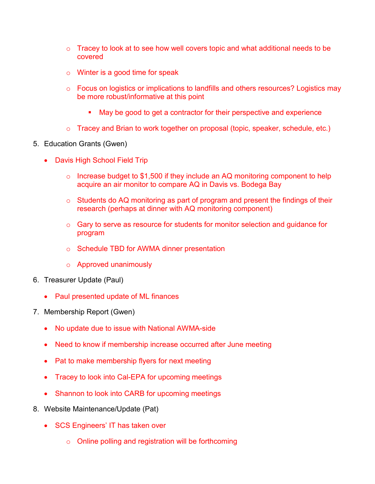- $\circ$  Tracey to look at to see how well covers topic and what additional needs to be covered
- $\circ$  Winter is a good time for speak
- o Focus on logistics or implications to landfills and others resources? Logistics may be more robust/informative at this point
	- May be good to get a contractor for their perspective and experience
- o Tracey and Brian to work together on proposal (topic, speaker, schedule, etc.)
- 5. Education Grants (Gwen)
	- Davis High School Field Trip
		- $\circ$  Increase budget to \$1,500 if they include an AQ monitoring component to help acquire an air monitor to compare AQ in Davis vs. Bodega Bay
		- o Students do AQ monitoring as part of program and present the findings of their research (perhaps at dinner with AQ monitoring component)
		- o Gary to serve as resource for students for monitor selection and guidance for program
		- o Schedule TBD for AWMA dinner presentation
		- o Approved unanimously
- 6. Treasurer Update (Paul)
	- Paul presented update of ML finances
- 7. Membership Report (Gwen)
	- No update due to issue with National AWMA-side
	- Need to know if membership increase occurred after June meeting
	- Pat to make membership flyers for next meeting
	- Tracey to look into Cal-EPA for upcoming meetings
	- Shannon to look into CARB for upcoming meetings
- 8. Website Maintenance/Update (Pat)
	- SCS Engineers' IT has taken over
		- o Online polling and registration will be forthcoming